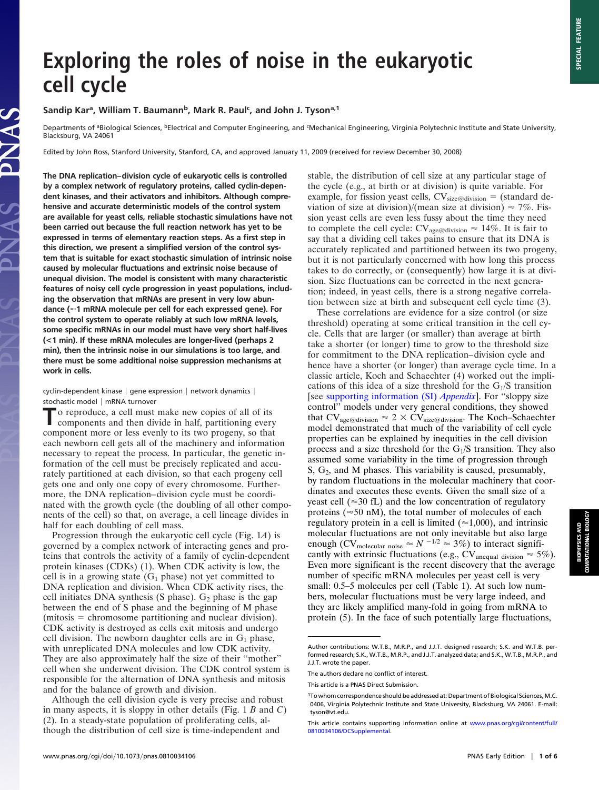# **Exploring the roles of noise in the eukaryotic cell cycle**

## Sandip Kar<sup>a</sup>, William T. Baumann<sup>b</sup>, Mark R. Paul<sup>c</sup>, and John J. Tyson<sup>a,1</sup>

Departments of <sup>a</sup>Biological Sciences, <sup>b</sup>Electrical and Computer Engineering, and <sup>c</sup>Mechanical Engineering, Virginia Polytechnic Institute and State University, Blacksburg, VA 24061

Edited by John Ross, Stanford University, Stanford, CA, and approved January 11, 2009 (received for review December 30, 2008)

**The DNA replication–division cycle of eukaryotic cells is controlled by a complex network of regulatory proteins, called cyclin-dependent kinases, and their activators and inhibitors. Although comprehensive and accurate deterministic models of the control system are available for yeast cells, reliable stochastic simulations have not been carried out because the full reaction network has yet to be expressed in terms of elementary reaction steps. As a first step in this direction, we present a simplified version of the control system that is suitable for exact stochastic simulation of intrinsic noise caused by molecular fluctuations and extrinsic noise because of unequal division. The model is consistent with many characteristic features of noisy cell cycle progression in yeast populations, including the observation that mRNAs are present in very low abundance (1 mRNA molecule per cell for each expressed gene). For the control system to operate reliably at such low mRNA levels, some specific mRNAs in our model must have very short half-lives (<1 min). If these mRNA molecules are longer-lived (perhaps 2 min), then the intrinsic noise in our simulations is too large, and there must be some additional noise suppression mechanisms at work in cells.**

 $c$ yclin-dependent kinase  $|$  gene expression  $|$  network dynamics  $|$ stochastic model | mRNA turnover

To reproduce, a cell must make new copies of all of its components and then divide in half, partitioning every component more or less evenly to its two progeny, so that each newborn cell gets all of the machinery and information necessary to repeat the process. In particular, the genetic information of the cell must be precisely replicated and accurately partitioned at each division, so that each progeny cell gets one and only one copy of every chromosome. Furthermore, the DNA replication–division cycle must be coordinated with the growth cycle (the doubling of all other components of the cell) so that, on average, a cell lineage divides in half for each doubling of cell mass.

Progression through the eukaryotic cell cycle (Fig. 1*A*) is governed by a complex network of interacting genes and proteins that controls the activity of a family of cyclin-dependent protein kinases (CDKs) (1). When CDK activity is low, the cell is in a growing state  $(G_1$  phase) not yet committed to DNA replication and division. When CDK activity rises, the cell initiates DNA synthesis (S phase).  $G_2$  phase is the gap between the end of S phase and the beginning of M phase (mitosis = chromosome partitioning and nuclear division). CDK activity is destroyed as cells exit mitosis and undergo cell division. The newborn daughter cells are in  $G_1$  phase, with unreplicated DNA molecules and low CDK activity. They are also approximately half the size of their ''mother'' cell when she underwent division. The CDK control system is responsible for the alternation of DNA synthesis and mitosis and for the balance of growth and division.

Although the cell division cycle is very precise and robust in many aspects, it is sloppy in other details (Fig. 1 *B* and *C*) (2). In a steady-state population of proliferating cells, although the distribution of cell size is time-independent and

stable, the distribution of cell size at any particular stage of the cycle (e.g., at birth or at division) is quite variable. For example, for fission yeast cells,  $CV_{size@division}$  = (standard deviation of size at division)/(mean size at division)  $\approx$  7%. Fission yeast cells are even less fussy about the time they need to complete the cell cycle:  $CV_{\text{age@division}} \approx 14\%$ . It is fair to say that a dividing cell takes pains to ensure that its DNA is accurately replicated and partitioned between its two progeny, but it is not particularly concerned with how long this process takes to do correctly, or (consequently) how large it is at division. Size fluctuations can be corrected in the next generation; indeed, in yeast cells, there is a strong negative correlation between size at birth and subsequent cell cycle time (3).

These correlations are evidence for a size control (or size threshold) operating at some critical transition in the cell cycle. Cells that are larger (or smaller) than average at birth take a shorter (or longer) time to grow to the threshold size for commitment to the DNA replication–division cycle and hence have a shorter (or longer) than average cycle time. In a classic article, Koch and Schaechter (4) worked out the implications of this idea of a size threshold for the  $G<sub>1</sub>/S$  transition [see [supporting information \(SI\)](http://www.pnas.org/cgi/data/0810034106/DCSupplemental/Appendix_PDF) *Appendix*]. For ''sloppy size control'' models under very general conditions, they showed that  $CV_{\text{age@division}} \approx 2 \times CV_{\text{size@division}}$ . The Koch–Schaechter model demonstrated that much of the variability of cell cycle properties can be explained by inequities in the cell division process and a size threshold for the  $G<sub>1</sub>/S$  transition. They also assumed some variability in the time of progression through  $S, G<sub>2</sub>, and M phases. This variability is caused, presumably,$ by random fluctuations in the molecular machinery that coordinates and executes these events. Given the small size of a yeast cell ( $\approx$ 30 fL) and the low concentration of regulatory proteins ( $\approx$ 50 nM), the total number of molecules of each regulatory protein in a cell is limited ( $\approx$ 1,000), and intrinsic molecular fluctuations are not only inevitable but also large enough (CV<sub>molecular noise  $\approx N^{-1/2} \approx 3\%$ ) to interact signifi-</sub> cantly with extrinsic fluctuations (e.g., CV<sub>unequal division</sub>  $\approx$  5%). Even more significant is the recent discovery that the average number of specific mRNA molecules per yeast cell is very small: 0.5–5 molecules per cell (Table 1). At such low numbers, molecular fluctuations must be very large indeed, and they are likely amplified many-fold in going from mRNA to protein (5). In the face of such potentially large fluctuations,

Author contributions: W.T.B., M.R.P., and J.J.T. designed research; S.K. and W.T.B. performed research; S.K., W.T.B., M.R.P., and J.J.T. analyzed data; and S.K., W.T.B., M.R.P., and J.J.T. wrote the paper.

The authors declare no conflict of interest.

This article is a PNAS Direct Submission.

<sup>1</sup>To whom correspondence should be addressed at: Department of Biological Sciences, M.C. 0406, Virginia Polytechnic Institute and State University, Blacksburg, VA 24061. E-mail: tyson@vt.edu.

This article contains supporting information online at [www.pnas.org/cgi/content/full/](http://www.pnas.org/cgi/content/full/0810034106/DCSupplemental) [0810034106/DCSupplemental.](http://www.pnas.org/cgi/content/full/0810034106/DCSupplemental)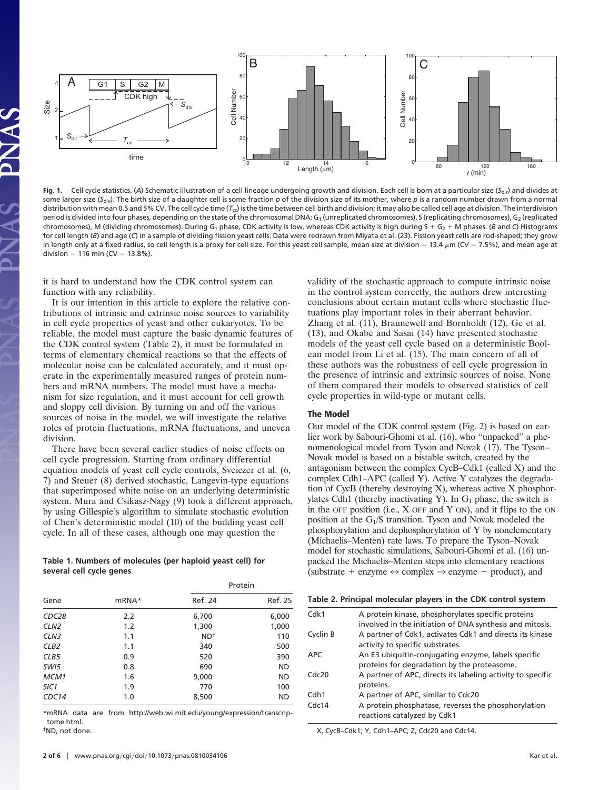

**Fig. 1.** Cell cycle statistics. (*A*) Schematic illustration of a cell lineage undergoing growth and division. Each cell is born at a particular size (*S*bir) and divides at some larger size (S<sub>div</sub>). The birth size of a daughter cell is some fraction p of the division size of its mother, where p is a random number drawn from a normal distribution with mean 0.5 and 5% CV. The cell cycle time ( $T_{\rm cc}$ ) is the time between cell birth and division; it may also be called cell age at division. The interdivision period is divided into four phases, depending on the state of the chromosomal DNA: G<sub>1</sub> (unreplicated chromosomes), S (replicating chromosomes), G<sub>2</sub> (replicated chromosomes), M (dividing chromosomes). During G<sub>1</sub> phase, CDK activity is low, whereas CDK activity is high during S + G<sub>2</sub> + M phases. (*B* and *C*) Histograms for cell length (*B*) and age (*C*) in a sample of dividing fission yeast cells. Data were redrawn from Miyata et al. (23). Fission yeast cells are rod-shaped; they grow in length only at a fixed radius, so cell length is a proxy for cell size. For this yeast cell sample, mean size at division = 13.4  $\mu$ m (CV = 7.5%), and mean age at division = 116 min (CV = 13.8%).

it is hard to understand how the CDK control system can function with any reliability.

It is our intention in this article to explore the relative contributions of intrinsic and extrinsic noise sources to variability in cell cycle properties of yeast and other eukaryotes. To be reliable, the model must capture the basic dynamic features of the CDK control system (Table 2), it must be formulated in terms of elementary chemical reactions so that the effects of molecular noise can be calculated accurately, and it must operate in the experimentally measured ranges of protein numbers and mRNA numbers. The model must have a mechanism for size regulation, and it must account for cell growth and sloppy cell division. By turning on and off the various sources of noise in the model, we will investigate the relative roles of protein fluctuations, mRNA fluctuations, and uneven division.

There have been several earlier studies of noise effects on cell cycle progression. Starting from ordinary differential equation models of yeast cell cycle controls, Sveiczer et al. (6, 7) and Steuer (8) derived stochastic, Langevin-type equations that superimposed white noise on an underlying deterministic system. Mura and Csikasz-Nagy (9) took a different approach, by using Gillespie's algorithm to simulate stochastic evolution of Chen's deterministic model (10) of the budding yeast cell cycle. In all of these cases, although one may question the

#### **Table 1. Numbers of molecules (per haploid yeast cell) for several cell cycle genes**

|                   |       | Protein |           |  |  |
|-------------------|-------|---------|-----------|--|--|
| Gene              | mRNA* | Ref. 24 | Ref. 25   |  |  |
| CDC <sub>28</sub> | 2.2   | 6,700   | 6,000     |  |  |
| CLN <sub>2</sub>  | 1.2   | 1,300   | 1,000     |  |  |
| CLN <sub>3</sub>  | 1.1   | $ND+$   | 110       |  |  |
| CLB <sub>2</sub>  | 1.1   | 340     | 500       |  |  |
| CLB5              | 0.9   | 520     | 390       |  |  |
| SWI5              | 0.8   | 690     | <b>ND</b> |  |  |
| MCM1              | 1.6   | 9,000   | ND        |  |  |
| SIC <sub>1</sub>  | 1.9   | 770     | 100       |  |  |
| CDC14             | 1.0   | 8,500   | <b>ND</b> |  |  |

\*mRNA data are from http://web.wi.mit.edu/young/expression/transcriptome.html.

†ND, not done.

validity of the stochastic approach to compute intrinsic noise in the control system correctly, the authors drew interesting conclusions about certain mutant cells where stochastic fluctuations play important roles in their aberrant behavior. Zhang et al. (11), Braunewell and Bornholdt (12), Ge et al. (13), and Okabe and Sasai (14) have presented stochastic models of the yeast cell cycle based on a deterministic Boolean model from Li et al. (15). The main concern of all of these authors was the robustness of cell cycle progression in the presence of intrinsic and extrinsic sources of noise. None of them compared their models to observed statistics of cell cycle properties in wild-type or mutant cells.

#### **The Model**

Our model of the CDK control system (Fig. 2) is based on earlier work by Sabouri-Ghomi et al. (16), who ''unpacked'' a phenomenological model from Tyson and Novak (17). The Tyson– Novak model is based on a bistable switch, created by the antagonism between the complex CycB–Cdk1 (called X) and the complex Cdh1–APC (called Y). Active Y catalyzes the degradation of CycB (thereby destroying X), whereas active X phosphorylates Cdh1 (thereby inactivating Y). In  $G_1$  phase, the switch is in the OFF position (i.e.,  $X$  OFF and  $Y$  ON), and it flips to the ON position at the G1/S transition. Tyson and Novak modeled the phosphorylation and dephosphorylation of Y by nonelementary (Michaelis–Menten) rate laws. To prepare the Tyson–Novak model for stochastic simulations, Sabouri-Ghomi et al. (16) unpacked the Michaelis–Menten steps into elementary reactions (substrate  $+$  enzyme  $\leftrightarrow$  complex  $\rightarrow$  enzyme  $+$  product), and

| Table 2. Principal molecular players in the CDK control system |                                                             |  |  |  |  |
|----------------------------------------------------------------|-------------------------------------------------------------|--|--|--|--|
| Cdk1                                                           | A protein kinase, phosphorylates specific proteins          |  |  |  |  |
|                                                                | involved in the initiation of DNA synthesis and mitosis.    |  |  |  |  |
| Cyclin B                                                       | A partner of Cdk1, activates Cdk1 and directs its kinase    |  |  |  |  |
|                                                                | activity to specific substrates.                            |  |  |  |  |
| <b>APC</b>                                                     | An E3 ubiquitin-conjugating enzyme, labels specific         |  |  |  |  |
|                                                                | proteins for degradation by the proteasome.                 |  |  |  |  |
| Cdc20                                                          | A partner of APC, directs its labeling activity to specific |  |  |  |  |
|                                                                | proteins.                                                   |  |  |  |  |
| Cdh1                                                           | A partner of APC, similar to Cdc20                          |  |  |  |  |
| Cdc14                                                          | A protein phosphatase, reverses the phosphorylation         |  |  |  |  |
|                                                                | reactions catalyzed by Cdk1                                 |  |  |  |  |

X, CycB–Cdk1; Y, Cdh1–APC; Z, Cdc20 and Cdc14.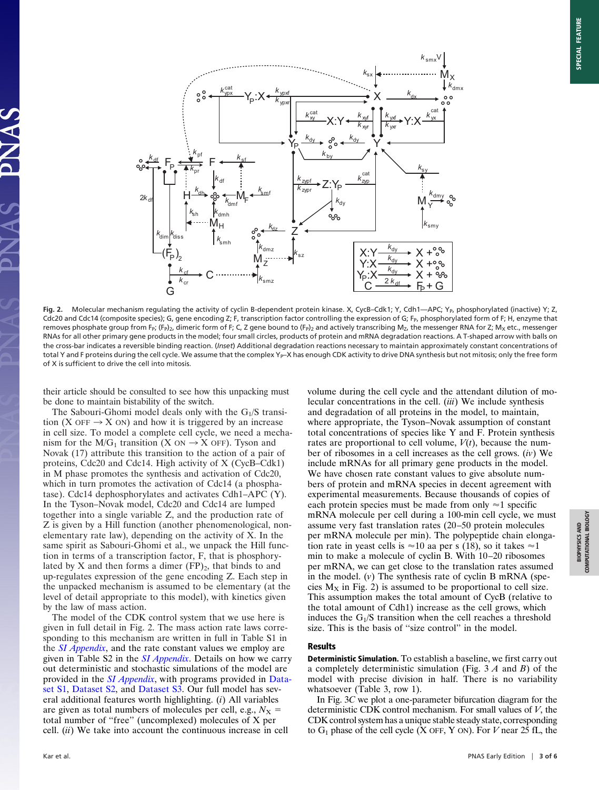

Fig. 2. Molecular mechanism regulating the activity of cyclin B-dependent protein kinase. X, CycB–Cdk1; Y, Cdh1—APC; Y<sub>P</sub>, phosphorylated (inactive) Y; Z, Cdc20 and Cdc14 (composite species); G, gene encoding Z; F, transcription factor controlling the expression of G; F<sub>P</sub>, phosphorylated form of F; H, enzyme that removes phosphate group from F<sub>P</sub>; (F<sub>P</sub>)<sub>2</sub>, dimeric form of F; C, Z gene bound to (F<sub>P</sub>)<sub>2</sub> and actively transcribing M<sub>Z</sub>, the messenger RNA for Z; M<sub>X</sub> etc., messenger RNAs for all other primary gene products in the model; four small circles, products of protein and mRNA degradation reactions. A T-shaped arrow with balls on the cross-bar indicates a reversible binding reaction. (*Inset*) Additional degradation reactions necessary to maintain approximately constant concentrations of total Y and F proteins during the cell cycle. We assume that the complex Y<sub>P</sub>–X has enough CDK activity to drive DNA synthesis but not mitosis; only the free form of X is sufficient to drive the cell into mitosis.

their article should be consulted to see how this unpacking must be done to maintain bistability of the switch.

The Sabouri-Ghomi model deals only with the  $G_1/S$  transition (X OFF  $\rightarrow$  X ON) and how it is triggered by an increase in cell size. To model a complete cell cycle, we need a mechanism for the  $M/G_1$  transition (X ON  $\rightarrow$  X OFF). Tyson and Novak (17) attribute this transition to the action of a pair of proteins, Cdc20 and Cdc14. High activity of X (CycB–Cdk1) in M phase promotes the synthesis and activation of Cdc20, which in turn promotes the activation of Cdc14 (a phosphatase). Cdc14 dephosphorylates and activates Cdh1–APC (Y). In the Tyson–Novak model, Cdc20 and Cdc14 are lumped together into a single variable Z, and the production rate of Z is given by a Hill function (another phenomenological, nonelementary rate law), depending on the activity of X. In the same spirit as Sabouri-Ghomi et al., we unpack the Hill function in terms of a transcription factor, F, that is phosphorylated by X and then forms a dimer  $(FP)_2$ , that binds to and up-regulates expression of the gene encoding Z. Each step in the unpacked mechanism is assumed to be elementary (at the level of detail appropriate to this model), with kinetics given by the law of mass action.

The model of the CDK control system that we use here is given in full detail in Fig. 2. The mass action rate laws corresponding to this mechanism are written in full in Table S1 in the *[SI Appendix](http://www.pnas.org/cgi/data/0810034106/DCSupplemental/Appendix_PDF)*, and the rate constant values we employ are given in Table S2 in the *[SI Appendix](http://www.pnas.org/cgi/data/0810034106/DCSupplemental/Appendix_PDF)*. Details on how we carry out deterministic and stochastic simulations of the model are provided in the *[SI Appendix](http://www.pnas.org/cgi/data/0810034106/DCSupplemental/Appendix_PDF)*, with programs provided in [Data](http://www.pnas.org/content/vol0/issue2009/images/data/0810034106/DCSupplemental/SD1.txt)[set S1,](http://www.pnas.org/content/vol0/issue2009/images/data/0810034106/DCSupplemental/SD1.txt) [Dataset S2,](http://www.pnas.org/content/vol0/issue2009/images/data/0810034106/DCSupplemental/SD2.txt) and [Dataset S3.](http://www.pnas.org/content/vol0/issue2009/images/data/0810034106/DCSupplemental/SD3.txt) Our full model has several additional features worth highlighting. (*i*) All variables are given as total numbers of molecules per cell, e.g.,  $N_X$  = total number of ''free'' (uncomplexed) molecules of X per cell. (*ii*) We take into account the continuous increase in cell

volume during the cell cycle and the attendant dilution of molecular concentrations in the cell. (*iii*) We include synthesis and degradation of all proteins in the model, to maintain, where appropriate, the Tyson–Novak assumption of constant total concentrations of species like Y and F. Protein synthesis rates are proportional to cell volume,  $V(t)$ , because the number of ribosomes in a cell increases as the cell grows. (*iv*) We include mRNAs for all primary gene products in the model. We have chosen rate constant values to give absolute numbers of protein and mRNA species in decent agreement with experimental measurements. Because thousands of copies of each protein species must be made from only  $\approx$  1 specific mRNA molecule per cell during a 100-min cell cycle, we must assume very fast translation rates (20–50 protein molecules per mRNA molecule per min). The polypeptide chain elongation rate in yeast cells is  $\approx 10$  aa per s (18), so it takes  $\approx 1$ min to make a molecule of cyclin B. With 10–20 ribosomes per mRNA, we can get close to the translation rates assumed in the model. (*v*) The synthesis rate of cyclin B mRNA (species  $M_X$  in Fig. 2) is assumed to be proportional to cell size. This assumption makes the total amount of CycB (relative to the total amount of Cdh1) increase as the cell grows, which induces the  $G_1/S$  transition when the cell reaches a threshold size. This is the basis of ''size control'' in the model.

#### **Results**

**Deterministic Simulation.** To establish a baseline, we first carry out a completely deterministic simulation (Fig. 3 *A* and *B*) of the model with precise division in half. There is no variability whatsoever (Table 3, row 1).

In Fig. 3*C* we plot a one-parameter bifurcation diagram for the deterministic CDK control mechanism. For small values of *V*, the CDK control system has a unique stable steady state, corresponding to  $G_1$  phase of the cell cycle  $(X$  OFF, Y ON). For *V* near 25 fL, the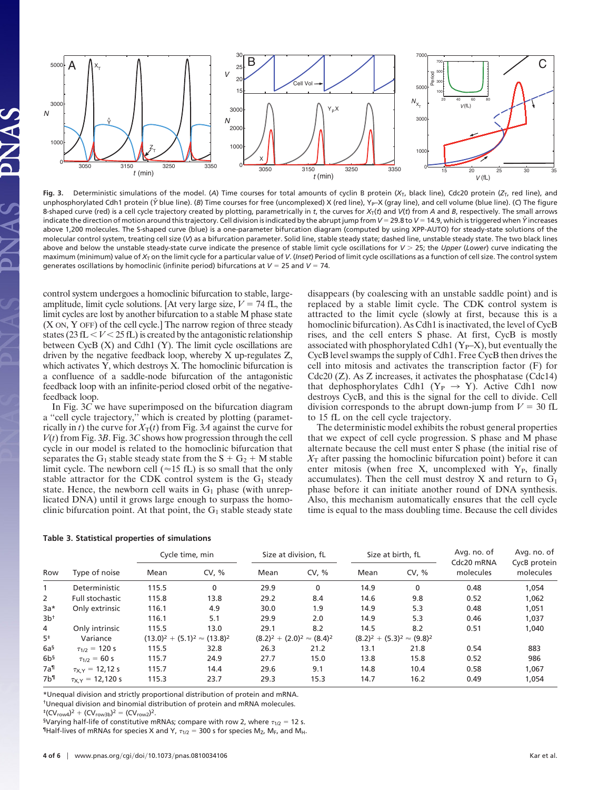

**Fig. 3.** Deterministic simulations of the model. (*A*) Time courses for total amounts of cyclin B protein (*X*T, black line), Cdc20 protein (*Z*T, red line), and unphosphorylated Cdh1 protein ( $\hat{Y}$  blue line). (B) Time courses for free (uncomplexed) X (red line), Y<sub>P</sub>–X (gray line), and cell volume (blue line). (C) The figure 8-shaped curve (red) is a cell cycle trajectory created by plotting, parametrically in *t*, the curves for *X*T(*t*) and *V*(*t*) from *A* and *B*, respectively. The small arrows indicate the direction of motion around this trajectory. Cell division is indicated by the abrupt jump from *V* = 29.8 to *V* = 14.9, which is triggered when  $\hat{Y}$  increases above 1,200 molecules. The S-shaped curve (blue) is a one-parameter bifurcation diagram (computed by using XPP-AUTO) for steady-state solutions of the molecular control system, treating cell size (*V*) as a bifurcation parameter. Solid line, stable steady state; dashed line, unstable steady state. The two black lines above and below the unstable steady-state curve indicate the presence of stable limit cycle oscillations for *V* 25; the *Upper* (*Lower*) curve indicating the maximum (minimum) value of *X<sub>T</sub>* on the limit cycle for a particular value of *V*. (Inset) Period of limit cycle oscillations as a function of cell size. The control system generates oscillations by homoclinic (infinite period) bifurcations at  $V = 25$  and  $V = 74$ .

control system undergoes a homoclinic bifurcation to stable, largeamplitude, limit cycle solutions. [At very large size,  $V = 74$  fL, the limit cycles are lost by another bifurcation to a stable M phase state (X ON, Y OFF) of the cell cycle.] The narrow region of three steady states ( $23 \text{ fL} < V < 25 \text{ fL}$ ) is created by the antagonistic relationship between CycB (X) and Cdh1 (Y). The limit cycle oscillations are driven by the negative feedback loop, whereby X up-regulates Z, which activates Y, which destroys X. The homoclinic bifurcation is a confluence of a saddle-node bifurcation of the antagonistic feedback loop with an infinite-period closed orbit of the negativefeedback loop.

In Fig. 3*C* we have superimposed on the bifurcation diagram a ''cell cycle trajectory,'' which is created by plotting (parametrically in *t*) the curve for  $X_T(t)$  from Fig. 3*A* against the curve for *V*(*t*) from Fig. 3*B*. Fig. 3*C* shows how progression through the cell cycle in our model is related to the homoclinic bifurcation that separates the G<sub>1</sub> stable steady state from the  $S + G_2 + M$  stable limit cycle. The newborn cell ( $\approx$ 15 fL) is so small that the only stable attractor for the CDK control system is the  $G_1$  steady state. Hence, the newborn cell waits in  $G_1$  phase (with unreplicated DNA) until it grows large enough to surpass the homoclinic bifurcation point. At that point, the  $G_1$  stable steady state disappears (by coalescing with an unstable saddle point) and is replaced by a stable limit cycle. The CDK control system is attracted to the limit cycle (slowly at first, because this is a homoclinic bifurcation). As Cdh1 is inactivated, the level of CycB rises, and the cell enters S phase. At first, CycB is mostly associated with phosphorylated Cdh1  $(Y_P-X)$ , but eventually the CycB level swamps the supply of Cdh1. Free CycB then drives the cell into mitosis and activates the transcription factor (F) for Cdc20 (Z). As Z increases, it activates the phosphatase (Cdc14) that dephosphorylates Cdh1 ( $Y_P \rightarrow Y$ ). Active Cdh1 now destroys CycB, and this is the signal for the cell to divide. Cell division corresponds to the abrupt down-jump from  $V = 30$  fL to 15 fL on the cell cycle trajectory.

The deterministic model exhibits the robust general properties that we expect of cell cycle progression. S phase and M phase alternate because the cell must enter S phase (the initial rise of  $X<sub>T</sub>$  after passing the homoclinic bifurcation point) before it can enter mitosis (when free X, uncomplexed with  $Y_{P}$ , finally accumulates). Then the cell must destroy  $X$  and return to  $G_1$ phase before it can initiate another round of DNA synthesis. Also, this mechanism automatically ensures that the cell cycle time is equal to the mass doubling time. Because the cell divides

| Row               |                         | Cycle time, min |                                       | Size at division, fL                |       | Size at birth, fL                   |       | Avg. no. of<br>Cdc20 mRNA | Avg. no. of<br>CycB protein |
|-------------------|-------------------------|-----------------|---------------------------------------|-------------------------------------|-------|-------------------------------------|-------|---------------------------|-----------------------------|
|                   | Type of noise           | Mean            | CV, %                                 | Mean                                | CV. % | Mean                                | CV, % | molecules                 | molecules                   |
| 1                 | Deterministic           | 115.5           | $\mathbf{0}$                          | 29.9                                | 0     | 14.9                                | 0     | 0.48                      | 1,054                       |
| 2                 | Full stochastic         | 115.8           | 13.8                                  | 29.2                                | 8.4   | 14.6                                | 9.8   | 0.52                      | 1,062                       |
| $3a*$             | Only extrinsic          | 116.1           | 4.9                                   | 30.0                                | 1.9   | 14.9                                | 5.3   | 0.48                      | 1,051                       |
| 3b <sup>†</sup>   |                         | 116.1           | 5.1                                   | 29.9                                | 2.0   | 14.9                                | 5.3   | 0.46                      | 1,037                       |
| 4                 | Only intrinsic          | 115.5           | 13.0                                  | 29.1                                | 8.2   | 14.5                                | 8.2   | 0.51                      | 1,040                       |
| $5^{\ddagger}$    | Variance                |                 | $(13.0)^2 + (5.1)^2 \approx (13.8)^2$ | $(8.2)^2 + (2.0)^2 \approx (8.4)^2$ |       | $(8.2)^2 + (5.3)^2 \approx (9.8)^2$ |       |                           |                             |
| 6a <sup>§</sup>   | $\tau_{1/2} = 120$ s    | 115.5           | 32.8                                  | 26.3                                | 21.2  | 13.1                                | 21.8  | 0.54                      | 883                         |
| 6b <sup>5</sup>   | $\tau_{1/2} = 60 s$     | 115.7           | 24.9                                  | 27.7                                | 15.0  | 13.8                                | 15.8  | 0.52                      | 986                         |
| $7a$ <sup>1</sup> | $\tau_{X,Y} = 12,12$ s  | 115.7           | 14.4                                  | 29.6                                | 9.1   | 14.8                                | 10.4  | 0.58                      | 1,067                       |
| 7 <sup>h</sup>    | $\tau_{X,Y} = 12.120$ s | 115.3           | 23.7                                  | 29.3                                | 15.3  | 14.7                                | 16.2  | 0.49                      | 1,054                       |

#### **Table 3. Statistical properties of simulations**

\*Unequal division and strictly proportional distribution of protein and mRNA. †Unequal division and binomial distribution of protein and mRNA molecules.

 $^{\ddagger}$ (CV<sub>row4</sub>)<sup>2</sup> + (CV<sub>row3b</sub>)<sup>2</sup> = (CV<sub>row2</sub>)<sup>2</sup>.

<sup>§</sup>Varying half-life of constitutive mRNAs; compare with row 2, where  $\tau_{1/2} = 12$  s. <sup>1</sup>IHalf-lives of mRNAs for species X and Y,  $\tau_{1/2} = 300$  s for species M<sub>Z</sub>, M<sub>F</sub>, and M<sub>H</sub>.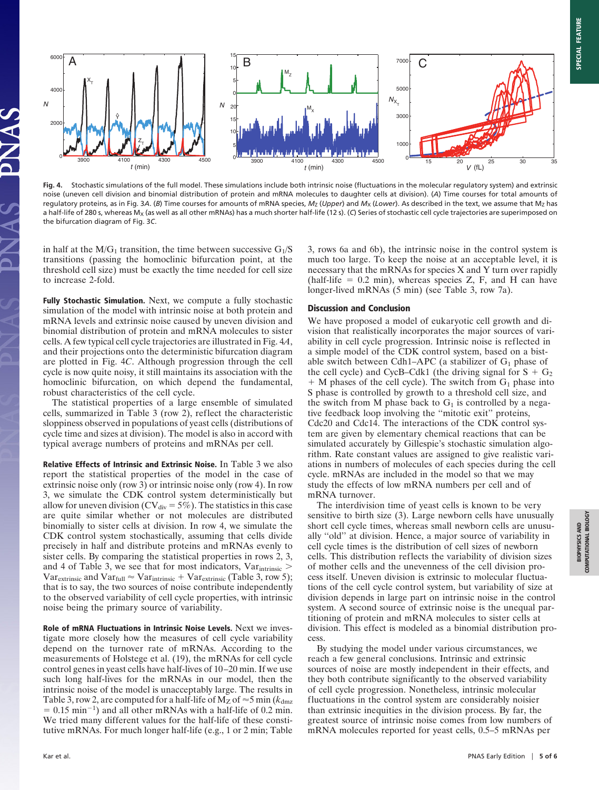

**Fig. 4.** Stochastic simulations of the full model. These simulations include both intrinsic noise (fluctuations in the molecular regulatory system) and extrinsic noise (uneven cell division and binomial distribution of protein and mRNA molecules to daughter cells at division). (*A*) Time courses for total amounts of regulatory proteins, as in Fig. 3A. (B) Time courses for amounts of mRNA species,  $M_Z$  (Upper) and  $M_X$  (Lower). As described in the text, we assume that  $M_Z$  has a half-life of 280 s, whereas M<sub>X</sub> (as well as all other mRNAs) has a much shorter half-life (12 s). (C) Series of stochastic cell cycle trajectories are superimposed on the bifurcation diagram of Fig. 3*C*.

in half at the  $M/G_1$  transition, the time between successive  $G_1/S$ transitions (passing the homoclinic bifurcation point, at the threshold cell size) must be exactly the time needed for cell size to increase 2-fold.

**Fully Stochastic Simulation.** Next, we compute a fully stochastic simulation of the model with intrinsic noise at both protein and mRNA levels and extrinsic noise caused by uneven division and binomial distribution of protein and mRNA molecules to sister cells. A few typical cell cycle trajectories are illustrated in Fig. 4*A*, and their projections onto the deterministic bifurcation diagram are plotted in Fig. 4*C*. Although progression through the cell cycle is now quite noisy, it still maintains its association with the homoclinic bifurcation, on which depend the fundamental, robust characteristics of the cell cycle.

The statistical properties of a large ensemble of simulated cells, summarized in Table 3 (row 2), reflect the characteristic sloppiness observed in populations of yeast cells (distributions of cycle time and sizes at division). The model is also in accord with typical average numbers of proteins and mRNAs per cell.

**Relative Effects of Intrinsic and Extrinsic Noise.** In Table 3 we also report the statistical properties of the model in the case of extrinsic noise only (row 3) or intrinsic noise only (row 4). In row 3, we simulate the CDK control system deterministically but allow for uneven division (CV $_{div}$  = 5%). The statistics in this case are quite similar whether or not molecules are distributed binomially to sister cells at division. In row 4, we simulate the CDK control system stochastically, assuming that cells divide precisely in half and distribute proteins and mRNAs evenly to sister cells. By comparing the statistical properties in rows 2, 3, and 4 of Table 3, we see that for most indicators,  $Var<sub>intrinsic</sub>$  $Var_{extrinsic}$  and  $Var_{full} \approx Var_{intrinsic} + Var_{extrinsic}$  (Table 3, row 5); that is to say, the two sources of noise contribute independently to the observed variability of cell cycle properties, with intrinsic noise being the primary source of variability.

**Role of mRNA Fluctuations in Intrinsic Noise Levels.** Next we investigate more closely how the measures of cell cycle variability depend on the turnover rate of mRNAs. According to the measurements of Holstege et al. (19), the mRNAs for cell cycle control genes in yeast cells have half-lives of 10–20 min. If we use such long half-lives for the mRNAs in our model, then the intrinsic noise of the model is unacceptably large. The results in Table 3, row 2, are computed for a half-life of  $M_Z$  of  $\approx$  5 min ( $k_{dmz}$ )  $= 0.15$  min<sup>-1</sup>) and all other mRNAs with a half-life of 0.2 min. We tried many different values for the half-life of these constitutive mRNAs. For much longer half-life (e.g., 1 or 2 min; Table 3, rows 6a and 6b), the intrinsic noise in the control system is much too large. To keep the noise at an acceptable level, it is necessary that the mRNAs for species X and Y turn over rapidly (half-life  $= 0.2$  min), whereas species Z, F, and H can have longer-lived mRNAs (5 min) (see Table 3, row 7a).

### **Discussion and Conclusion**

We have proposed a model of eukaryotic cell growth and division that realistically incorporates the major sources of variability in cell cycle progression. Intrinsic noise is reflected in a simple model of the CDK control system, based on a bistable switch between Cdh1–APC (a stabilizer of  $G_1$  phase of the cell cycle) and CycB–Cdk1 (the driving signal for  $S + G_2$  $+$  M phases of the cell cycle). The switch from  $G_1$  phase into S phase is controlled by growth to a threshold cell size, and the switch from M phase back to  $G_1$  is controlled by a negative feedback loop involving the ''mitotic exit'' proteins, Cdc20 and Cdc14. The interactions of the CDK control system are given by elementary chemical reactions that can be simulated accurately by Gillespie's stochastic simulation algorithm. Rate constant values are assigned to give realistic variations in numbers of molecules of each species during the cell cycle. mRNAs are included in the model so that we may study the effects of low mRNA numbers per cell and of mRNA turnover.

The interdivision time of yeast cells is known to be very sensitive to birth size (3). Large newborn cells have unusually short cell cycle times, whereas small newborn cells are unusually ''old'' at division. Hence, a major source of variability in cell cycle times is the distribution of cell sizes of newborn cells. This distribution reflects the variability of division sizes of mother cells and the unevenness of the cell division process itself. Uneven division is extrinsic to molecular fluctuations of the cell cycle control system, but variability of size at division depends in large part on intrinsic noise in the control system. A second source of extrinsic noise is the unequal partitioning of protein and mRNA molecules to sister cells at division. This effect is modeled as a binomial distribution process.

By studying the model under various circumstances, we reach a few general conclusions. Intrinsic and extrinsic sources of noise are mostly independent in their effects, and they both contribute significantly to the observed variability of cell cycle progression. Nonetheless, intrinsic molecular fluctuations in the control system are considerably noisier than extrinsic inequities in the division process. By far, the greatest source of intrinsic noise comes from low numbers of mRNA molecules reported for yeast cells, 0.5–5 mRNAs per